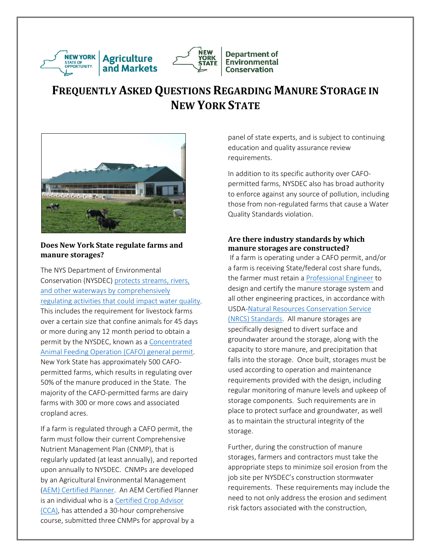

# **FREQUENTLY ASKED QUESTIONS REGARDING MANURE STORAGE IN NEW YORK STATE**

**Department of** 

**Environmental** 

**Conservation** 

**NEW** 

**YORK** 

**STATE** 



## **Does New York State regulate farms and manure storages?**

The NYS Department of Environmental Conservation (NYSDEC) [protects streams, rivers,](https://govt.westlaw.com/nycrr/Browse/Home/NewYork/NewYorkCodesRulesandRegulations?guid=I06666980b5a111dda0a4e17826ebc834&originationContext=documenttoc&transitionType=Default&contextData=(sc.Default)&bhcp=1)  [and other waterways by comprehensively](https://govt.westlaw.com/nycrr/Browse/Home/NewYork/NewYorkCodesRulesandRegulations?guid=I06666980b5a111dda0a4e17826ebc834&originationContext=documenttoc&transitionType=Default&contextData=(sc.Default)&bhcp=1)  [regulating activities that could impact water quality.](https://govt.westlaw.com/nycrr/Browse/Home/NewYork/NewYorkCodesRulesandRegulations?guid=I06666980b5a111dda0a4e17826ebc834&originationContext=documenttoc&transitionType=Default&contextData=(sc.Default)&bhcp=1) This includes the requirement for livestock farms over a certain size that confine animals for 45 days or more during any 12 month period to obtain a permit by the NYSDEC, known a[s a Concentrated](http://www.dec.ny.gov/permits/6285.html)  [Animal Feeding Operation \(CAFO\)](http://www.dec.ny.gov/permits/6285.html) general permit. New York State has approximately 500 CAFOpermitted farms, which results in regulating over 50% of the manure produced in the State. The majority of the CAFO-permitted farms are dairy farms with 300 or more cows and associated cropland acres.

If a farm is regulated through a CAFO permit, the farm must follow their current Comprehensive Nutrient Management Plan (CNMP), that is regularly updated (at least annually), and reported upon annually to NYSDEC. CNMPs are developed by an Agricultural Environmental Management (AEM) [Certified Planner.](http://www.nys-soilandwater.org/aem/forms/baseyr6/Certified_AEM_Planner_Directory.pdf) An AEM Certified Planner is an individual who is [a Certified Crop Advisor](http://www.northeastcropadvisers.org/)  [\(CCA\),](http://www.northeastcropadvisers.org/) has attended a 30-hour comprehensive course, submitted three CNMPs for approval by a

panel of state experts, and is subject to continuing education and quality assurance review requirements.

In addition to its specific authority over CAFOpermitted farms, NYSDEC also has broad authority to enforce against any source of pollution, including those from non-regulated farms that cause a Water Quality Standards violation.

## **Are there industry standards by which manure storages are constructed?**

If a farm is operating under a CAFO permit, and/or a farm is receiving State/federal cost share funds, the farmer must retain a [Professional Engineer](http://www.op.nysed.gov/prof/pels/pelic.htm) to design and certify the manure storage system and all other engineering practices, in accordance with USDA[-Natural Resources Conservation Service](http://www.nrcs.usda.gov/wps/portal/nrcs/detail/ny/technical/cp/?cid=nrcs144p2_027449)  [\(NRCS\) Standards.](http://www.nrcs.usda.gov/wps/portal/nrcs/detail/ny/technical/cp/?cid=nrcs144p2_027449) All manure storages are specifically designed to divert surface and groundwater around the storage, along with the capacity to store manure, and precipitation that falls into the storage. Once built, storages must be used according to operation and maintenance requirements provided with the design, including regular monitoring of manure levels and upkeep of storage components. Such requirements are in place to protect surface and groundwater, as well as to maintain the structural integrity of the storage.

Further, during the construction of manure storages, farmers and contractors must take the appropriate steps to minimize soil erosion from the job site per NYSDEC's construction stormwater requirements. These requirements may include the need to not only address the erosion and sediment risk factors associated with the construction,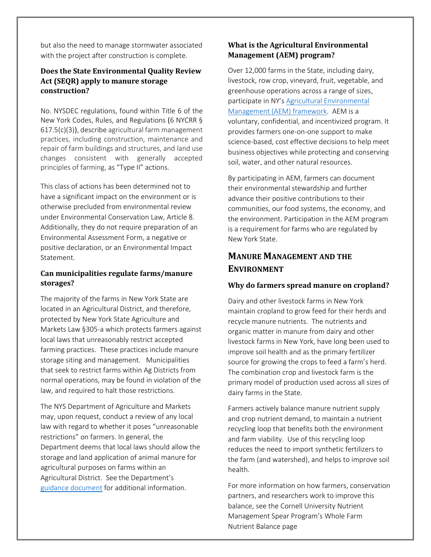but also the need to manage stormwater associated with the project after construction is complete.

## **Does the State Environmental Quality Review Act (SEQR) apply to manure storage construction?**

No. NYSDEC regulations, found within Title 6 of the New York Codes, Rules, and Regulations (6 NYCRR § 617.5(c)(3)), describe agricultural farm management practices, including construction, maintenance and repair of farm buildings and structures, and land use changes consistent with generally accepted principles of farming, as "Type II" actions.

This class of actions has been determined not to have a significant impact on the environment or is otherwise precluded from environmental review under Environmental Conservation Law, Article 8. Additionally, they do not require preparation of an Environmental Assessment Form, a negative or positive declaration, or an Environmental Impact Statement.

## **Can municipalities regulate farms/manure storages?**

The majority of the farms in New York State are located in an Agricultural District, and therefore, protected by New York State Agriculture and Markets Law §305-a which protects farmers against local laws that unreasonably restrict accepted farming practices. These practices include manure storage siting and management. Municipalities that seek to restrict farms within Ag Districts from normal operations, may be found in violation of the law, and required to halt those restrictions.

The NYS Department of Agriculture and Markets may, upon request, conduct a review of any local law with regard to whether it poses "unreasonable restrictions" on farmers. In general, the Department deems that local laws should allow the storage and land application of animal manure for agricultural purposes on farms within an Agricultural District. See the Department's [guidance document](http://www.agriculture.ny.gov/ap/agservices/guidancedocuments/305_a_Nutrient_Management_Guidelines.pdf)for additional information.

## **What is the Agricultural Environmental Management (AEM) program?**

Over 12,000 farms in the State, including dairy, livestock, row crop, vineyard, fruit, vegetable, and greenhouse operations across a range of sizes, participate in NY's [Agricultural Environmental](http://www.nys-soilandwater.org/aem/index.html)  [Management \(AEM\) framework.](http://www.nys-soilandwater.org/aem/index.html) AEM is a voluntary, confidential, and incentivized program. It provides farmers one-on-one support to make science-based, cost effective decisions to help meet business objectives while protecting and conserving soil, water, and other natural resources.

By participating in AEM, farmers can document their environmental stewardship and further advance their positive contributions to their communities, our food systems, the economy, and the environment. Participation in the AEM program is a requirement for farms who are regulated by New York State.

## **MANURE MANAGEMENT AND THE ENVIRONMENT**

#### **Why do farmers spread manure on cropland?**

Dairy and other livestock farms in New York maintain cropland to grow feed for their herds and recycle manure nutrients. The nutrients and organic matter in manure from dairy and other livestock farms in New York, have long been used to improve soil health and as the primary fertilizer source for growing the crops to feed a farm's herd. The combination crop and livestock farm is the primary model of production used across all sizes of dairy farms in the State.

Farmers actively balance manure nutrient supply and crop nutrient demand, to maintain a nutrient recycling loop that benefits both the environment and farm viability. Use of this recycling loop reduces the need to import synthetic fertilizers to the farm (and watershed), and helps to improve soil health.

For more information on how farmers, conservation partners, and researchers work to improve this balance, see the Cornell University Nutrient Management Spear Program's Whole Farm Nutrient Balance page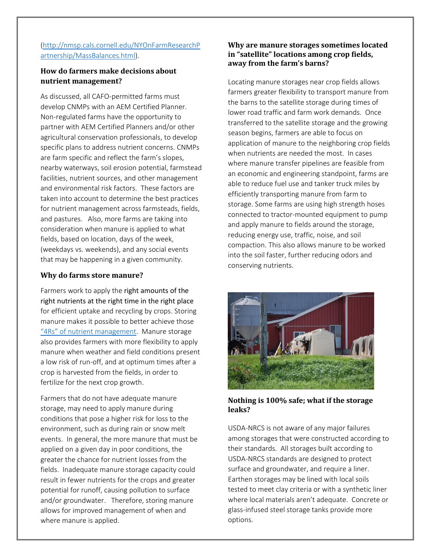## [\(http://nmsp.cals.cornell.edu/NYOnFarmResearchP](http://nmsp.cals.cornell.edu/NYOnFarmResearchPartnership/MassBalances.html) [artnership/MassBalances.html\)](http://nmsp.cals.cornell.edu/NYOnFarmResearchPartnership/MassBalances.html).

## **How do farmers make decisions about nutrient management?**

As discussed, all CAFO-permitted farms must develop CNMPs with an AEM Certified Planner. Non-regulated farms have the opportunity to partner with AEM Certified Planners and/or other agricultural conservation professionals, to develop specific plans to address nutrient concerns. CNMPs are farm specific and reflect the farm's slopes, nearby waterways, soil erosion potential, farmstead facilities, nutrient sources, and other management and environmental risk factors. These factors are taken into account to determine the best practices for nutrient management across farmsteads, fields, and pastures. Also, more farms are taking into consideration when manure is applied to what fields, based on location, days of the week, (weekdays vs. weekends), and any social events that may be happening in a given community.

#### **Why do farms store manure?**

Farmers work to apply the right amounts of the right nutrients at the right time in the right place for efficient uptake and recycling by crops. Storing manure makes it possible to better achieve those "4Rs[" of nutrient management](http://www.nutrientstewardship.com/4rs/). Manure storage also provides farmers with more flexibility to apply manure when weather and field conditions present a low risk of run-off, and at optimum times after a crop is harvested from the fields, in order to fertilize for the next crop growth.

Farmers that do not have adequate manure storage, may need to apply manure during conditions that pose a higher risk for loss to the environment, such as during rain or snow melt events. In general, the more manure that must be applied on a given day in poor conditions, the greater the chance for nutrient losses from the fields. Inadequate manure storage capacity could result in fewer nutrients for the crops and greater potential for runoff, causing pollution to surface and/or groundwater. Therefore, storing manure allows for improved management of when and where manure is applied.

## **Why are manure storages sometimes located in "satellite" locations among crop fields, away from the farm's barns?**

Locating manure storages near crop fields allows farmers greater flexibility to transport manure from the barns to the satellite storage during times of lower road traffic and farm work demands. Once transferred to the satellite storage and the growing season begins, farmers are able to focus on application of manure to the neighboring crop fields when nutrients are needed the most. In cases where manure transfer pipelines are feasible from an economic and engineering standpoint, farms are able to reduce fuel use and tanker truck miles by efficiently transporting manure from farm to storage. Some farms are using high strength hoses connected to tractor-mounted equipment to pump and apply manure to fields around the storage, reducing energy use, traffic, noise, and soil compaction. This also allows manure to be worked into the soil faster, further reducing odors and conserving nutrients.



**Nothing is 100% safe; what if the storage leaks?** 

USDA-NRCS is not aware of any major failures among storages that were constructed according to their standards. All storages built according to USDA-NRCS standards are designed to protect surface and groundwater, and require a liner. Earthen storages may be lined with local soils tested to meet clay criteria or with a synthetic liner where local materials aren't adequate. Concrete or glass-infused steel storage tanks provide more options.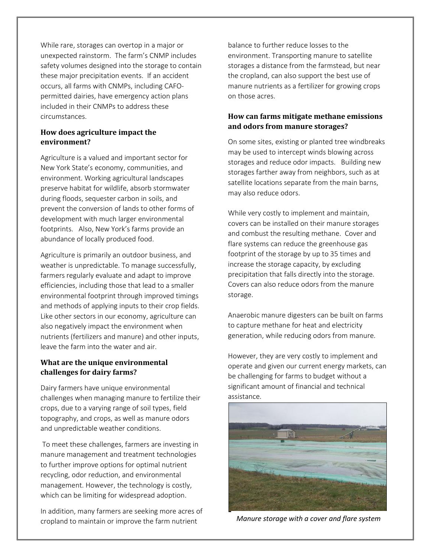While rare, storages can overtop in a major or unexpected rainstorm. The farm's CNMP includes safety volumes designed into the storage to contain these major precipitation events. If an accident occurs, all farms with CNMPs, including CAFOpermitted dairies, have emergency action plans included in their CNMPs to address these circumstances.

#### **How does agriculture impact the environment?**

Agriculture is a valued and important sector for New York State's economy, communities, and environment. Working agricultural landscapes preserve habitat for wildlife, absorb stormwater during floods, sequester carbon in soils, and prevent the conversion of lands to other forms of development with much larger environmental footprints. Also, New York's farms provide an abundance of locally produced food.

Agriculture is primarily an outdoor business, and weather is unpredictable. To manage successfully, farmers regularly evaluate and adapt to improve efficiencies, including those that lead to a smaller environmental footprint through improved timings and methods of applying inputs to their crop fields. Like other sectors in our economy, agriculture can also negatively impact the environment when nutrients (fertilizers and manure) and other inputs, leave the farm into the water and air.

## **What are the unique environmental challenges for dairy farms?**

Dairy farmers have unique environmental challenges when managing manure to fertilize their crops, due to a varying range of soil types, field topography, and crops, as well as manure odors and unpredictable weather conditions.

To meet these challenges, farmers are investing in manure management and treatment technologies to further improve options for optimal nutrient recycling, odor reduction, and environmental management. However, the technology is costly, which can be limiting for widespread adoption.

In addition, many farmers are seeking more acres of cropland to maintain or improve the farm nutrient

balance to further reduce losses to the environment. Transporting manure to satellite storages a distance from the farmstead, but near the cropland, can also support the best use of manure nutrients as a fertilizer for growing crops on those acres.

## **How can farms mitigate methane emissions and odors from manure storages?**

On some sites, existing or planted tree windbreaks may be used to intercept winds blowing across storages and reduce odor impacts. Building new storages farther away from neighbors, such as at satellite locations separate from the main barns, may also reduce odors.

While very costly to implement and maintain, covers can be installed on their manure storages and combust the resulting methane. Cover and flare systems can reduce the greenhouse gas footprint of the storage by up to 35 times and increase the storage capacity, by excluding precipitation that falls directly into the storage. Covers can also reduce odors from the manure storage.

Anaerobic manure digesters can be built on farms to capture methane for heat and electricity generation, while reducing odors from manure.

However, they are very costly to implement and operate and given our current energy markets, can be challenging for farms to budget without a significant amount of financial and technical assistance.



*Manure storage with a cover and flare system*